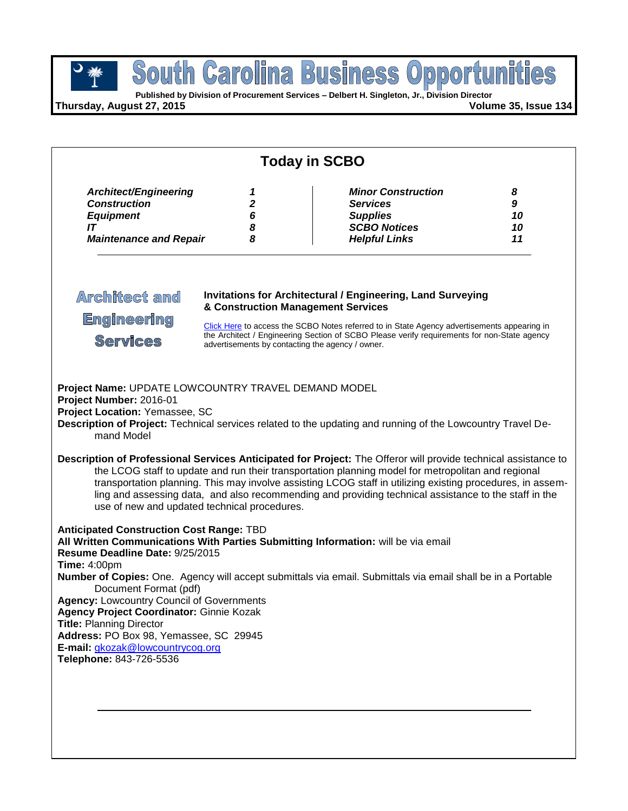**Published by Division of Procurement Services – Delbert H. Singleton, Jr., Division Director**

**Thursday, August 27, 2015 Volume 35, Issue 134**

| <b>Today in SCBO</b>                                                                                                                                                                                                                                                                                                                                                                                                        |                                              |                                                                                                                                                                                                                                                                                                                                                                                                                                                                                                                                                            |                          |  |  |
|-----------------------------------------------------------------------------------------------------------------------------------------------------------------------------------------------------------------------------------------------------------------------------------------------------------------------------------------------------------------------------------------------------------------------------|----------------------------------------------|------------------------------------------------------------------------------------------------------------------------------------------------------------------------------------------------------------------------------------------------------------------------------------------------------------------------------------------------------------------------------------------------------------------------------------------------------------------------------------------------------------------------------------------------------------|--------------------------|--|--|
| Architect/Engineering<br><b>Construction</b><br><b>Equipment</b><br>IT<br><b>Maintenance and Repair</b>                                                                                                                                                                                                                                                                                                                     | 1<br>2<br>6<br>8<br>8                        | <b>Minor Construction</b><br><b>Services</b><br><b>Supplies</b><br><b>SCBO Notices</b><br><b>Helpful Links</b>                                                                                                                                                                                                                                                                                                                                                                                                                                             | 8<br>9<br>10<br>10<br>11 |  |  |
| <b>Architect and</b><br><b>Invitations for Architectural / Engineering, Land Surveying</b><br>& Construction Management Services<br><b>Engineering</b><br>Click Here to access the SCBO Notes referred to in State Agency advertisements appearing in<br>the Architect / Engineering Section of SCBO Please verify requirements for non-State agency<br><b>Services</b><br>advertisements by contacting the agency / owner. |                                              |                                                                                                                                                                                                                                                                                                                                                                                                                                                                                                                                                            |                          |  |  |
| Project Name: UPDATE LOWCOUNTRY TRAVEL DEMAND MODEL<br>Project Number: 2016-01<br>Project Location: Yemassee, SC<br>mand Model                                                                                                                                                                                                                                                                                              | use of new and updated technical procedures. | Description of Project: Technical services related to the updating and running of the Lowcountry Travel De-<br>Description of Professional Services Anticipated for Project: The Offeror will provide technical assistance to<br>the LCOG staff to update and run their transportation planning model for metropolitan and regional<br>transportation planning. This may involve assisting LCOG staff in utilizing existing procedures, in assem-<br>ling and assessing data, and also recommending and providing technical assistance to the staff in the |                          |  |  |
| <b>Anticipated Construction Cost Range: TBD</b><br>Resume Deadline Date: 9/25/2015<br><b>Time: 4:00pm</b><br>Document Format (pdf)<br><b>Agency: Lowcountry Council of Governments</b><br>Agency Project Coordinator: Ginnie Kozak<br><b>Title: Planning Director</b><br>Address: PO Box 98, Yemassee, SC 29945<br>E-mail: gkozak@lowcountrycog.org<br>Telephone: 843-726-5536                                              |                                              | All Written Communications With Parties Submitting Information: will be via email<br>Number of Copies: One. Agency will accept submittals via email. Submittals via email shall be in a Portable                                                                                                                                                                                                                                                                                                                                                           |                          |  |  |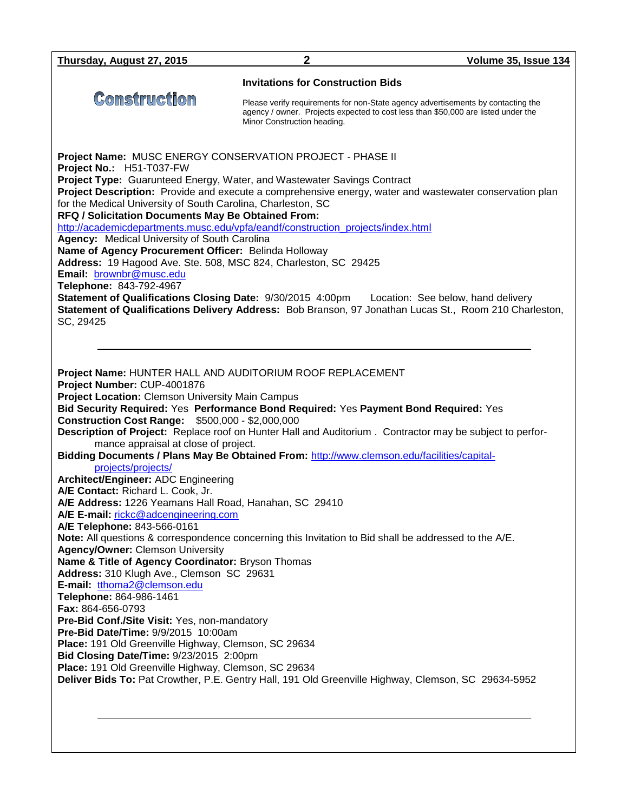| Thursday, August 27, 2015                                                                                                                                                                                                                                                                                                                                                                                                                                                                                                                                                                                                                                                                                                                                                                                                                                                                                                                                                                                                                                                                                                                                                                                                                                                                                                                                                                                                                                                                 | 2                                                                                                                                                                                                    | Volume 35, Issue 134 |  |  |
|-------------------------------------------------------------------------------------------------------------------------------------------------------------------------------------------------------------------------------------------------------------------------------------------------------------------------------------------------------------------------------------------------------------------------------------------------------------------------------------------------------------------------------------------------------------------------------------------------------------------------------------------------------------------------------------------------------------------------------------------------------------------------------------------------------------------------------------------------------------------------------------------------------------------------------------------------------------------------------------------------------------------------------------------------------------------------------------------------------------------------------------------------------------------------------------------------------------------------------------------------------------------------------------------------------------------------------------------------------------------------------------------------------------------------------------------------------------------------------------------|------------------------------------------------------------------------------------------------------------------------------------------------------------------------------------------------------|----------------------|--|--|
|                                                                                                                                                                                                                                                                                                                                                                                                                                                                                                                                                                                                                                                                                                                                                                                                                                                                                                                                                                                                                                                                                                                                                                                                                                                                                                                                                                                                                                                                                           | <b>Invitations for Construction Bids</b>                                                                                                                                                             |                      |  |  |
| <b>Construction</b>                                                                                                                                                                                                                                                                                                                                                                                                                                                                                                                                                                                                                                                                                                                                                                                                                                                                                                                                                                                                                                                                                                                                                                                                                                                                                                                                                                                                                                                                       | Please verify requirements for non-State agency advertisements by contacting the<br>agency / owner. Projects expected to cost less than \$50,000 are listed under the<br>Minor Construction heading. |                      |  |  |
| Project Name: MUSC ENERGY CONSERVATION PROJECT - PHASE II<br>Project No.: H51-T037-FW<br>Project Type: Guarunteed Energy, Water, and Wastewater Savings Contract<br>Project Description: Provide and execute a comprehensive energy, water and wastewater conservation plan<br>for the Medical University of South Carolina, Charleston, SC<br>RFQ / Solicitation Documents May Be Obtained From:<br>http://academicdepartments.musc.edu/vpfa/eandf/construction_projects/index.html<br>Agency: Medical University of South Carolina<br>Name of Agency Procurement Officer: Belinda Holloway<br>Address: 19 Hagood Ave. Ste. 508, MSC 824, Charleston, SC 29425<br>Email: brownbr@musc.edu<br>Telephone: 843-792-4967<br>Statement of Qualifications Closing Date: 9/30/2015 4:00pm Location: See below, hand delivery<br>Statement of Qualifications Delivery Address: Bob Branson, 97 Jonathan Lucas St., Room 210 Charleston,<br>SC, 29425                                                                                                                                                                                                                                                                                                                                                                                                                                                                                                                                             |                                                                                                                                                                                                      |                      |  |  |
| Project Name: HUNTER HALL AND AUDITORIUM ROOF REPLACEMENT<br>Project Number: CUP-4001876<br><b>Project Location: Clemson University Main Campus</b><br>Bid Security Required: Yes Performance Bond Required: Yes Payment Bond Required: Yes<br><b>Construction Cost Range: \$500,000 - \$2,000,000</b><br>Description of Project: Replace roof on Hunter Hall and Auditorium. Contractor may be subject to perfor-<br>mance appraisal at close of project.<br>Bidding Documents / Plans May Be Obtained From: http://www.clemson.edu/facilities/capital-<br>projects/projects/<br>Architect/Engineer: ADC Engineering<br>A/E Contact: Richard L. Cook, Jr.<br>A/E Address: 1226 Yeamans Hall Road, Hanahan, SC 29410<br>A/E E-mail: rickc@adcengineering.com<br>A/E Telephone: 843-566-0161<br>Note: All questions & correspondence concerning this Invitation to Bid shall be addressed to the A/E.<br><b>Agency/Owner: Clemson University</b><br>Name & Title of Agency Coordinator: Bryson Thomas<br>Address: 310 Klugh Ave., Clemson SC 29631<br>E-mail: tthoma2@clemson.edu<br>Telephone: 864-986-1461<br>Fax: 864-656-0793<br>Pre-Bid Conf./Site Visit: Yes, non-mandatory<br>Pre-Bid Date/Time: 9/9/2015 10:00am<br>Place: 191 Old Greenville Highway, Clemson, SC 29634<br>Bid Closing Date/Time: 9/23/2015 2:00pm<br>Place: 191 Old Greenville Highway, Clemson, SC 29634<br>Deliver Bids To: Pat Crowther, P.E. Gentry Hall, 191 Old Greenville Highway, Clemson, SC 29634-5952 |                                                                                                                                                                                                      |                      |  |  |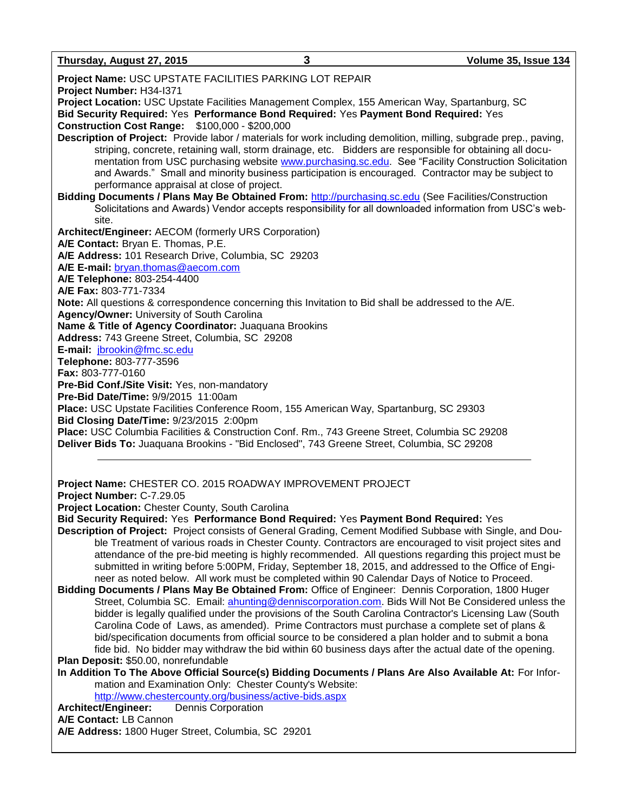**Thursday, August 27, 2015 3 Volume 35, Issue 134**

**Project Name:** USC UPSTATE FACILITIES PARKING LOT REPAIR **Project Number:** H34-I371 **Project Location:** USC Upstate Facilities Management Complex, 155 American Way, Spartanburg, SC **Bid Security Required:** Yes **Performance Bond Required:** Yes **Payment Bond Required:** Yes **Construction Cost Range:** \$100,000 - \$200,000 **Description of Project:** Provide labor / materials for work including demolition, milling, subgrade prep., paving, striping, concrete, retaining wall, storm drainage, etc. Bidders are responsible for obtaining all documentation from USC purchasing website [www.purchasing.sc.edu.](http://www.purchasing.sc.edu/) See "Facility Construction Solicitation and Awards." Small and minority business participation is encouraged. Contractor may be subject to performance appraisal at close of project. **Bidding Documents / Plans May Be Obtained From:** [http://purchasing.sc.edu](http://purchasing.sc.edu/) (See Facilities/Construction Solicitations and Awards) Vendor accepts responsibility for all downloaded information from USC's website. **Architect/Engineer:** AECOM (formerly URS Corporation) **A/E Contact:** Bryan E. Thomas, P.E. **A/E Address:** 101 Research Drive, Columbia, SC 29203 **A/E E-mail:** [bryan.thomas@aecom.com](mailto:bryan.thomas@aecom.com) **A/E Telephone:** 803-254-4400 **A/E Fax:** 803-771-7334 **Note:** All questions & correspondence concerning this Invitation to Bid shall be addressed to the A/E. **Agency/Owner:** University of South Carolina **Name & Title of Agency Coordinator:** Juaquana Brookins **Address:** 743 Greene Street, Columbia, SC 29208 **E-mail:** [jbrookin@fmc.sc.edu](mailto:jbrookin@fmc.sc.edu) **Telephone:** 803-777-3596 **Fax:** 803-777-0160 **Pre-Bid Conf./Site Visit:** Yes, non-mandatory **Pre-Bid Date/Time:** 9/9/2015 11:00am **Place:** USC Upstate Facilities Conference Room, 155 American Way, Spartanburg, SC 29303 **Bid Closing Date/Time:** 9/23/2015 2:00pm **Place:** USC Columbia Facilities & Construction Conf. Rm., 743 Greene Street, Columbia SC 29208 **Deliver Bids To:** Juaquana Brookins - "Bid Enclosed", 743 Greene Street, Columbia, SC 29208

**Project Name:** CHESTER CO. 2015 ROADWAY IMPROVEMENT PROJECT

**Project Number:** C-7.29.05

**Project Location:** Chester County, South Carolina

**Bid Security Required:** Yes **Performance Bond Required:** Yes **Payment Bond Required:** Yes

- **Description of Project:** Project consists of General Grading, Cement Modified Subbase with Single, and Double Treatment of various roads in Chester County. Contractors are encouraged to visit project sites and attendance of the pre-bid meeting is highly recommended. All questions regarding this project must be submitted in writing before 5:00PM, Friday, September 18, 2015, and addressed to the Office of Engineer as noted below. All work must be completed within 90 Calendar Days of Notice to Proceed.
- **Bidding Documents / Plans May Be Obtained From:** Office of Engineer: Dennis Corporation, 1800 Huger Street, Columbia SC. Email: [ahunting@denniscorporation.com.](mailto:ahunting@denniscorporation.com) Bids Will Not Be Considered unless the bidder is legally qualified under the provisions of the South Carolina Contractor's Licensing Law (South Carolina Code of Laws, as amended). Prime Contractors must purchase a complete set of plans & bid/specification documents from official source to be considered a plan holder and to submit a bona fide bid. No bidder may withdraw the bid within 60 business days after the actual date of the opening. **Plan Deposit:** \$50.00, nonrefundable

**In Addition To The Above Official Source(s) Bidding Documents / Plans Are Also Available At:** For Information and Examination Only: Chester County's Website:

<http://www.chestercounty.org/business/active-bids.aspx>

**Architect/Engineer:** Dennis Corporation

**A/E Contact:** LB Cannon

**A/E Address:** 1800 Huger Street, Columbia, SC 29201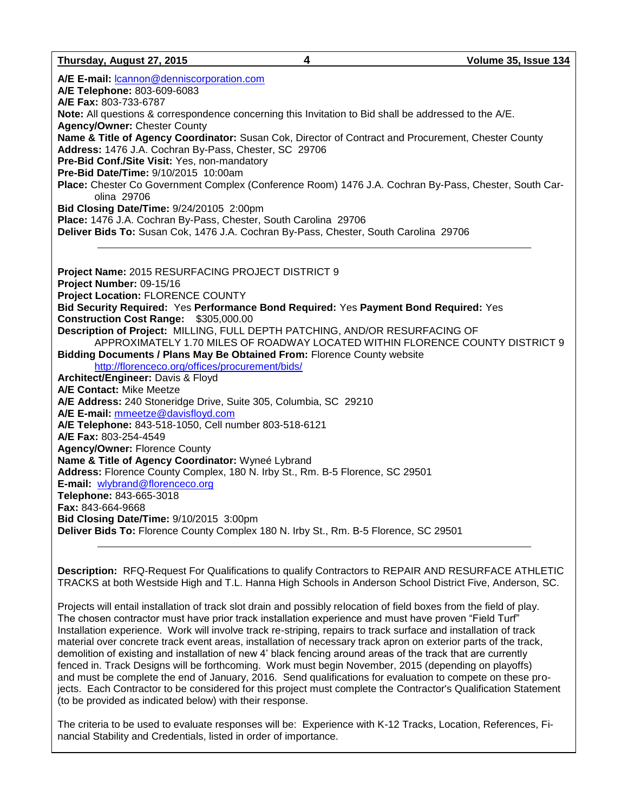| Thursday, August 27, 2015                                                                                                                                                                                                                                                                                                                                                                                                                                                                                                                                                                                                                                                                                                                                                                                                                                                                                                 | 4 | Volume 35, Issue 134                                                                                  |
|---------------------------------------------------------------------------------------------------------------------------------------------------------------------------------------------------------------------------------------------------------------------------------------------------------------------------------------------------------------------------------------------------------------------------------------------------------------------------------------------------------------------------------------------------------------------------------------------------------------------------------------------------------------------------------------------------------------------------------------------------------------------------------------------------------------------------------------------------------------------------------------------------------------------------|---|-------------------------------------------------------------------------------------------------------|
| A/E E-mail: Icannon@denniscorporation.com<br>A/E Telephone: 803-609-6083<br>A/E Fax: 803-733-6787                                                                                                                                                                                                                                                                                                                                                                                                                                                                                                                                                                                                                                                                                                                                                                                                                         |   |                                                                                                       |
| Note: All questions & correspondence concerning this Invitation to Bid shall be addressed to the A/E.<br><b>Agency/Owner: Chester County</b>                                                                                                                                                                                                                                                                                                                                                                                                                                                                                                                                                                                                                                                                                                                                                                              |   |                                                                                                       |
| Name & Title of Agency Coordinator: Susan Cok, Director of Contract and Procurement, Chester County<br>Address: 1476 J.A. Cochran By-Pass, Chester, SC 29706<br>Pre-Bid Conf./Site Visit: Yes, non-mandatory                                                                                                                                                                                                                                                                                                                                                                                                                                                                                                                                                                                                                                                                                                              |   |                                                                                                       |
| Pre-Bid Date/Time: 9/10/2015 10:00am<br>olina 29706                                                                                                                                                                                                                                                                                                                                                                                                                                                                                                                                                                                                                                                                                                                                                                                                                                                                       |   | Place: Chester Co Government Complex (Conference Room) 1476 J.A. Cochran By-Pass, Chester, South Car- |
| Bid Closing Date/Time: 9/24/20105 2:00pm<br>Place: 1476 J.A. Cochran By-Pass, Chester, South Carolina 29706                                                                                                                                                                                                                                                                                                                                                                                                                                                                                                                                                                                                                                                                                                                                                                                                               |   |                                                                                                       |
| Deliver Bids To: Susan Cok, 1476 J.A. Cochran By-Pass, Chester, South Carolina 29706                                                                                                                                                                                                                                                                                                                                                                                                                                                                                                                                                                                                                                                                                                                                                                                                                                      |   |                                                                                                       |
| Project Name: 2015 RESURFACING PROJECT DISTRICT 9<br>Project Number: 09-15/16<br><b>Project Location: FLORENCE COUNTY</b><br>Bid Security Required: Yes Performance Bond Required: Yes Payment Bond Required: Yes<br>Construction Cost Range: \$305,000.00<br>Description of Project: MILLING, FULL DEPTH PATCHING, AND/OR RESURFACING OF<br>Bidding Documents / Plans May Be Obtained From: Florence County website<br>http://florenceco.org/offices/procurement/bids/<br>Architect/Engineer: Davis & Floyd<br><b>A/E Contact: Mike Meetze</b><br>A/E Address: 240 Stoneridge Drive, Suite 305, Columbia, SC 29210<br>A/E E-mail: mmeetze@davisfloyd.com<br>A/E Telephone: 843-518-1050, Cell number 803-518-6121<br>A/E Fax: 803-254-4549<br><b>Agency/Owner: Florence County</b><br>Name & Title of Agency Coordinator: Wyneé Lybrand<br>Address: Florence County Complex, 180 N. Irby St., Rm. B-5 Florence, SC 29501 |   | APPROXIMATELY 1.70 MILES OF ROADWAY LOCATED WITHIN FLORENCE COUNTY DISTRICT 9                         |
| E-mail: wlybrand@florenceco.org<br>Telephone: 843-665-3018<br><b>Fax: 843-664-9668</b><br>Bid Closing Date/Time: 9/10/2015 3:00pm<br>Deliver Bids To: Florence County Complex 180 N. Irby St., Rm. B-5 Florence, SC 29501                                                                                                                                                                                                                                                                                                                                                                                                                                                                                                                                                                                                                                                                                                 |   |                                                                                                       |
|                                                                                                                                                                                                                                                                                                                                                                                                                                                                                                                                                                                                                                                                                                                                                                                                                                                                                                                           |   |                                                                                                       |

**Description:** RFQ-Request For Qualifications to qualify Contractors to REPAIR AND RESURFACE ATHLETIC TRACKS at both Westside High and T.L. Hanna High Schools in Anderson School District Five, Anderson, SC.

Projects will entail installation of track slot drain and possibly relocation of field boxes from the field of play. The chosen contractor must have prior track installation experience and must have proven "Field Turf" Installation experience. Work will involve track re-striping, repairs to track surface and installation of track material over concrete track event areas, installation of necessary track apron on exterior parts of the track, demolition of existing and installation of new 4' black fencing around areas of the track that are currently fenced in. Track Designs will be forthcoming. Work must begin November, 2015 (depending on playoffs) and must be complete the end of January, 2016. Send qualifications for evaluation to compete on these projects. Each Contractor to be considered for this project must complete the Contractor's Qualification Statement (to be provided as indicated below) with their response.

The criteria to be used to evaluate responses will be: Experience with K-12 Tracks, Location, References, Financial Stability and Credentials, listed in order of importance.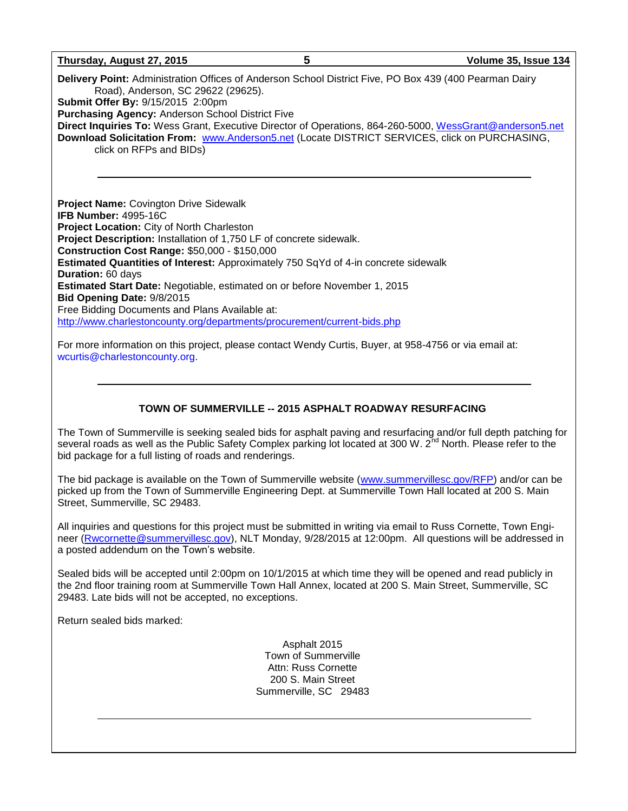## **Thursday, August 27, 2015 5 Volume 35, Issue 134 Delivery Point:** Administration Offices of Anderson School District Five, PO Box 439 (400 Pearman Dairy Road), Anderson, SC 29622 (29625). **Submit Offer By:** 9/15/2015 2:00pm **Purchasing Agency:** Anderson School District Five **Direct Inquiries To:** Wess Grant, Executive Director of Operations, 864-260-5000, [WessGrant@anderson5.net](mailto:WessGrant@anderson5.net) **Download Solicitation From:** [www.Anderson5.net](http://www.anderson5.net/) (Locate DISTRICT SERVICES, click on PURCHASING, click on RFPs and BIDs) **Project Name:** Covington Drive Sidewalk **IFB Number:** 4995-16C **Project Location:** City of North Charleston **Project Description:** Installation of 1,750 LF of concrete sidewalk. **Construction Cost Range:** \$50,000 - \$150,000 **Estimated Quantities of Interest:** Approximately 750 SqYd of 4-in concrete sidewalk **Duration:** 60 days **Estimated Start Date:** Negotiable, estimated on or before November 1, 2015

**Bid Opening Date:** 9/8/2015 Free Bidding Documents and Plans Available at: <http://www.charlestoncounty.org/departments/procurement/current-bids.php>

For more information on this project, please contact Wendy Curtis, Buyer, at 958-4756 or via email at: [wcurtis@charlestoncounty.org.](mailto:wcurtis@charlestoncounty.org)

## **TOWN OF SUMMERVILLE -- 2015 ASPHALT ROADWAY RESURFACING**

The Town of Summerville is seeking sealed bids for asphalt paving and resurfacing and/or full depth patching for several roads as well as the Public Safety Complex parking lot located at 300 W. 2<sup>nd</sup> North. Please refer to the bid package for a full listing of roads and renderings.

The bid package is available on the Town of Summerville website [\(www.summervillesc.gov/RFP\)](http://www.summervillesc.gov/RFP) and/or can be picked up from the Town of Summerville Engineering Dept. at Summerville Town Hall located at 200 S. Main Street, Summerville, SC 29483.

All inquiries and questions for this project must be submitted in writing via email to Russ Cornette, Town Engineer [\(Rwcornette@summervillesc.gov\)](mailto:Rwcornette@summervillesc.gov), NLT Monday, 9/28/2015 at 12:00pm. All questions will be addressed in a posted addendum on the Town's website.

Sealed bids will be accepted until 2:00pm on 10/1/2015 at which time they will be opened and read publicly in the 2nd floor training room at Summerville Town Hall Annex, located at 200 S. Main Street, Summerville, SC 29483. Late bids will not be accepted, no exceptions.

Return sealed bids marked:

Asphalt 2015 Town of Summerville Attn: Russ Cornette 200 S. Main Street Summerville, SC 29483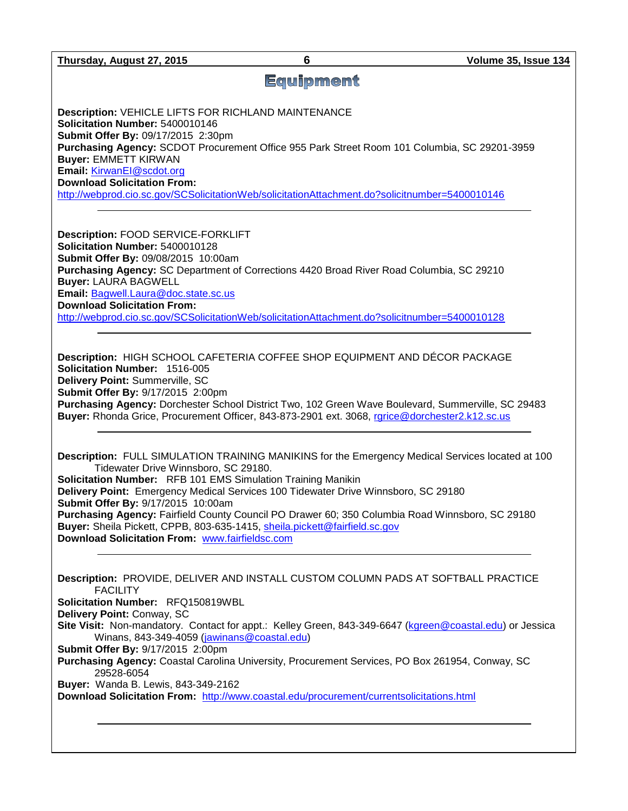# **Equipment**

**Description:** VEHICLE LIFTS FOR RICHLAND MAINTENANCE **Solicitation Number:** 5400010146 **Submit Offer By:** 09/17/2015 2:30pm **Purchasing Agency:** SCDOT Procurement Office 955 Park Street Room 101 Columbia, SC 29201-3959 **Buyer:** EMMETT KIRWAN **Email:** [KirwanEI@scdot.org](mailto:KirwanEI@scdot.org) **Download Solicitation From:**  <http://webprod.cio.sc.gov/SCSolicitationWeb/solicitationAttachment.do?solicitnumber=5400010146>

**Description:** FOOD SERVICE-FORKLIFT **Solicitation Number:** 5400010128 **Submit Offer By:** 09/08/2015 10:00am **Purchasing Agency:** SC Department of Corrections 4420 Broad River Road Columbia, SC 29210 **Buyer:** LAURA BAGWELL **Email:** [Bagwell.Laura@doc.state.sc.us](mailto:Bagwell.Laura@doc.state.sc.us) **Download Solicitation From:**  <http://webprod.cio.sc.gov/SCSolicitationWeb/solicitationAttachment.do?solicitnumber=5400010128>

**Description:** HIGH SCHOOL CAFETERIA COFFEE SHOP EQUIPMENT AND DÉCOR PACKAGE **Solicitation Number:** 1516-005 **Delivery Point:** Summerville, SC **Submit Offer By:** 9/17/2015 2:00pm **Purchasing Agency:** Dorchester School District Two, 102 Green Wave Boulevard, Summerville, SC 29483 **Buyer:** Rhonda Grice, Procurement Officer, 843-873-2901 ext. 3068, [rgrice@dorchester2.k12.sc.us](mailto:rgrice@dorchester2.k12.sc.us)

**Description:** FULL SIMULATION TRAINING MANIKINS for the Emergency Medical Services located at 100 Tidewater Drive Winnsboro, SC 29180. **Solicitation Number:** RFB 101 EMS Simulation Training Manikin **Delivery Point:** Emergency Medical Services 100 Tidewater Drive Winnsboro, SC 29180 **Submit Offer By:** 9/17/2015 10:00am **Purchasing Agency:** Fairfield County Council PO Drawer 60; 350 Columbia Road Winnsboro, SC 29180 **Buyer:** Sheila Pickett, CPPB, 803-635-1415, [sheila.pickett@fairfield.sc.gov](mailto:sheila.pickett@fairfield.sc.gov) **Download Solicitation From:** [www.fairfieldsc.com](http://www.fairfieldsc.com/)

**Description:** PROVIDE, DELIVER AND INSTALL CUSTOM COLUMN PADS AT SOFTBALL PRACTICE **FACILITY Solicitation Number:** RFQ150819WBL

**Delivery Point:** Conway, SC

**Site Visit:** Non-mandatory. Contact for appt.: Kelley Green, 843-349-6647 [\(kgreen@coastal.edu\)](mailto:kgreen@coastal.edu) or Jessica Winans, 843-349-4059 [\(jawinans@coastal.edu\)](mailto:jawinans@coastal.edu)

**Submit Offer By:** 9/17/2015 2:00pm

**Purchasing Agency:** Coastal Carolina University, Procurement Services, PO Box 261954, Conway, SC 29528-6054

**Buyer:** Wanda B. Lewis, 843-349-2162

**Download Solicitation From:** <http://www.coastal.edu/procurement/currentsolicitations.html>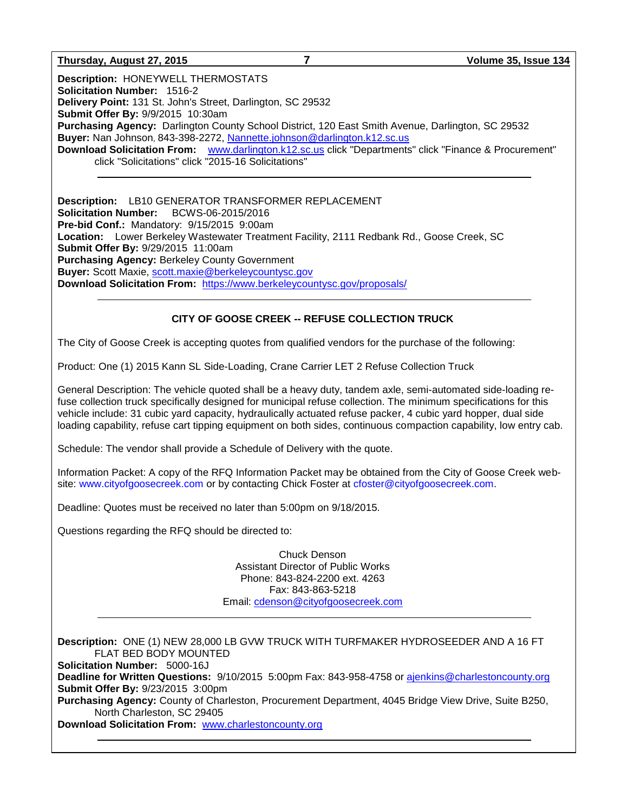#### **Thursday, August 27, 2015 7 Volume 35, Issue 134**

**Description:** HONEYWELL THERMOSTATS **Solicitation Number:** 1516-2 **Delivery Point:** 131 St. John's Street, Darlington, SC 29532 **Submit Offer By:** 9/9/2015 10:30am **Purchasing Agency:** Darlington County School District, 120 East Smith Avenue, Darlington, SC 29532 **Buyer:** Nan Johnson, 843-398-2272, [Nannette.johnson@darlington.k12.sc.us](mailto:Nannette.johnson@darlington.k12.sc.us) **Download Solicitation From:** [www.darlington.k12.sc.us](http://www.darlington.k12.sc.us/) click "Departments" click "Finance & Procurement" click "Solicitations" click "2015-16 Solicitations"

**Description:** LB10 GENERATOR TRANSFORMER REPLACEMENT **Solicitation Number:** BCWS-06-2015/2016 **Pre-bid Conf.:** Mandatory: 9/15/2015 9:00am **Location:** Lower Berkeley Wastewater Treatment Facility, 2111 Redbank Rd., Goose Creek, SC **Submit Offer By:** 9/29/2015 11:00am **Purchasing Agency:** Berkeley County Government **Buyer:** Scott Maxie, [scott.maxie@berkeleycountysc.gov](mailto:scott.maxie@berkeleycountysc.gov) **Download Solicitation From:** <https://www.berkeleycountysc.gov/proposals/>

#### **CITY OF GOOSE CREEK -- REFUSE COLLECTION TRUCK**

The City of Goose Creek is accepting quotes from qualified vendors for the purchase of the following:

Product: One (1) 2015 Kann SL Side-Loading, Crane Carrier LET 2 Refuse Collection Truck

General Description: The vehicle quoted shall be a heavy duty, tandem axle, semi-automated side-loading refuse collection truck specifically designed for municipal refuse collection. The minimum specifications for this vehicle include: 31 cubic yard capacity, hydraulically actuated refuse packer, 4 cubic yard hopper, dual side loading capability, refuse cart tipping equipment on both sides, continuous compaction capability, low entry cab.

Schedule: The vendor shall provide a Schedule of Delivery with the quote.

Information Packet: A copy of the RFQ Information Packet may be obtained from the City of Goose Creek website: [www.cityofgoosecreek.com](http://www.cityofgoosecreek.com/) or by contacting Chick Foster at [cfoster@cityofgoosecreek.com.](mailto:cfoster@cityofgoosecreek.com)

Deadline: Quotes must be received no later than 5:00pm on 9/18/2015.

Questions regarding the RFQ should be directed to:

Chuck Denson Assistant Director of Public Works Phone: 843-824-2200 ext. 4263 Fax: 843-863-5218 Email: [cdenson@cityofgoosecreek.com](mailto:cdenson@cityofgoosecreek.com)

**Description:** ONE (1) NEW 28,000 LB GVW TRUCK WITH TURFMAKER HYDROSEEDER AND A 16 FT FLAT BED BODY MOUNTED

**Solicitation Number:** 5000-16J

**Deadline for Written Questions:** 9/10/2015 5:00pm Fax: 843-958-4758 or [ajenkins@charlestoncounty.org](mailto:ajenkins@charlestoncounty.org) **Submit Offer By:** 9/23/2015 3:00pm

**Purchasing Agency:** County of Charleston, Procurement Department, 4045 Bridge View Drive, Suite B250, North Charleston, SC 29405

**Download Solicitation From:** [www.charlestoncounty.org](http://www.charlestoncounty.org/)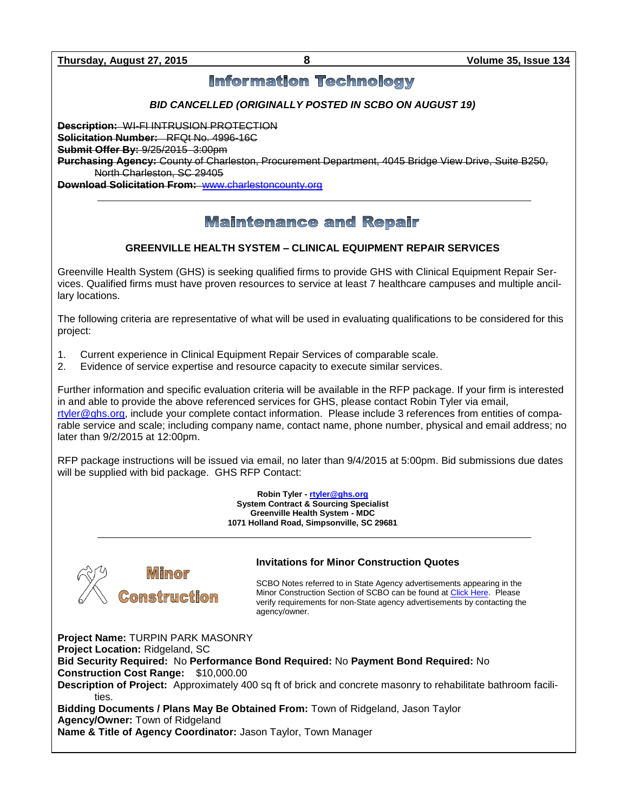# **Information Technology**

## *BID CANCELLED (ORIGINALLY POSTED IN SCBO ON AUGUST 19)*

**Description:** WI-FI INTRUSION PROTECTION

**Solicitation Number:** RFQt No. 4996-16C

**Submit Offer By:** 9/25/2015 3:00pm

**Purchasing Agency:** County of Charleston, Procurement Department, 4045 Bridge View Drive, Suite B250, North Charleston, SC 29405

**Download Solicitation From:** [www.charlestoncounty.org](http://www.charlestoncounty.org/)

# **Maintenance and Repair**

## **GREENVILLE HEALTH SYSTEM – CLINICAL EQUIPMENT REPAIR SERVICES**

Greenville Health System (GHS) is seeking qualified firms to provide GHS with Clinical Equipment Repair Services. Qualified firms must have proven resources to service at least 7 healthcare campuses and multiple ancillary locations.

The following criteria are representative of what will be used in evaluating qualifications to be considered for this project:

- 1. Current experience in Clinical Equipment Repair Services of comparable scale.
- 2. Evidence of service expertise and resource capacity to execute similar services.

Further information and specific evaluation criteria will be available in the RFP package. If your firm is interested in and able to provide the above referenced services for GHS, please contact Robin Tyler via email, [rtyler@ghs.org,](mailto:rtyler@ghs.org) include your complete contact information. Please include 3 references from entities of comparable service and scale; including company name, contact name, phone number, physical and email address; no later than 9/2/2015 at 12:00pm.

RFP package instructions will be issued via email, no later than 9/4/2015 at 5:00pm. Bid submissions due dates will be supplied with bid package. GHS RFP Contact:

> **Robin Tyler - [rtyler@ghs.org](mailto:rtyler@ghs.org) System Contract & Sourcing Specialist Greenville Health System - MDC 1071 Holland Road, Simpsonville, SC 29681**



#### **Invitations for Minor Construction Quotes**

SCBO Notes referred to in State Agency advertisements appearing in the Minor Construction Section of SCBO can be found a[t Click Here.](http://www.mmo.sc.gov/PS/general/scbo/SCBO_Notes_060512.pdf) Please verify requirements for non-State agency advertisements by contacting the agency/owner.

**Project Name:** TURPIN PARK MASONRY **Project Location:** Ridgeland, SC **Bid Security Required:** No **Performance Bond Required:** No **Payment Bond Required:** No **Construction Cost Range:** \$10,000.00 **Description of Project:** Approximately 400 sq ft of brick and concrete masonry to rehabilitate bathroom facilities. **Bidding Documents / Plans May Be Obtained From:** Town of Ridgeland, Jason Taylor **Agency/Owner:** Town of Ridgeland **Name & Title of Agency Coordinator:** Jason Taylor, Town Manager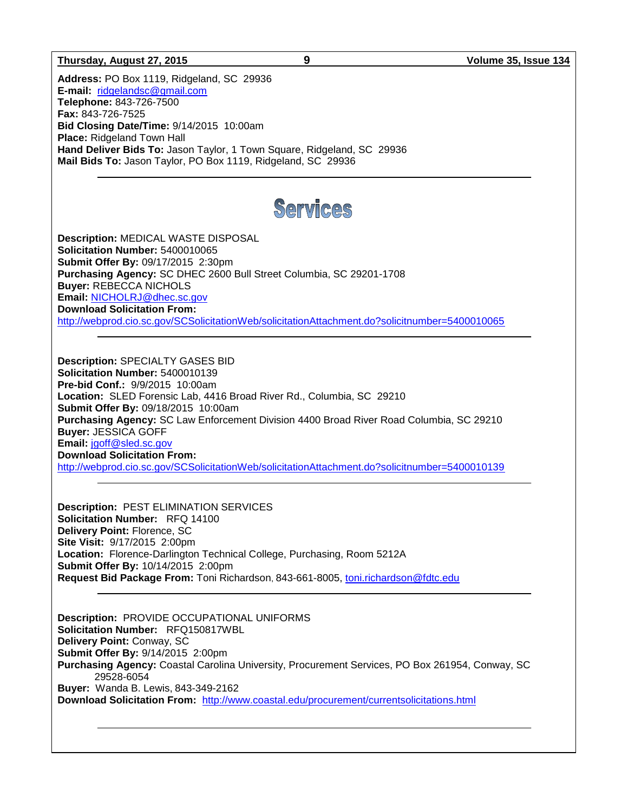#### **Thursday, August 27, 2015 9 Volume 35, Issue 134**

**Address:** PO Box 1119, Ridgeland, SC 29936 **E-mail:** [ridgelandsc@gmail.com](mailto:ridgelandsc@gmail.com) **Telephone:** 843-726-7500 **Fax:** 843-726-7525 **Bid Closing Date/Time:** 9/14/2015 10:00am **Place: Ridgeland Town Hall Hand Deliver Bids To:** Jason Taylor, 1 Town Square, Ridgeland, SC 29936 **Mail Bids To:** Jason Taylor, PO Box 1119, Ridgeland, SC 29936



**Description:** MEDICAL WASTE DISPOSAL **Solicitation Number:** 5400010065 **Submit Offer By:** 09/17/2015 2:30pm **Purchasing Agency:** SC DHEC 2600 Bull Street Columbia, SC 29201-1708 **Buyer:** REBECCA NICHOLS **Email:** [NICHOLRJ@dhec.sc.gov](mailto:NICHOLRJ@dhec.sc.gov) **Download Solicitation From:**  <http://webprod.cio.sc.gov/SCSolicitationWeb/solicitationAttachment.do?solicitnumber=5400010065>

**Description:** SPECIALTY GASES BID **Solicitation Number:** 5400010139 **Pre-bid Conf.:** 9/9/2015 10:00am **Location:** SLED Forensic Lab, 4416 Broad River Rd., Columbia, SC 29210 **Submit Offer By:** 09/18/2015 10:00am **Purchasing Agency:** SC Law Enforcement Division 4400 Broad River Road Columbia, SC 29210 **Buyer:** JESSICA GOFF **Email:** [jgoff@sled.sc.gov](mailto:jgoff@sled.sc.gov) **Download Solicitation From:**  <http://webprod.cio.sc.gov/SCSolicitationWeb/solicitationAttachment.do?solicitnumber=5400010139>

**Description:** PEST ELIMINATION SERVICES **Solicitation Number:** RFQ 14100 **Delivery Point:** Florence, SC **Site Visit:** 9/17/2015 2:00pm **Location:** Florence-Darlington Technical College, Purchasing, Room 5212A **Submit Offer By:** 10/14/2015 2:00pm **Request Bid Package From:** Toni Richardson, 843-661-8005, [toni.richardson@fdtc.edu](mailto:toni.richardson@fdtc.edu)

**Description:** PROVIDE OCCUPATIONAL UNIFORMS **Solicitation Number:** RFQ150817WBL **Delivery Point:** Conway, SC **Submit Offer By:** 9/14/2015 2:00pm **Purchasing Agency:** Coastal Carolina University, Procurement Services, PO Box 261954, Conway, SC 29528-6054 **Buyer:** Wanda B. Lewis, 843-349-2162 **Download Solicitation From:** <http://www.coastal.edu/procurement/currentsolicitations.html>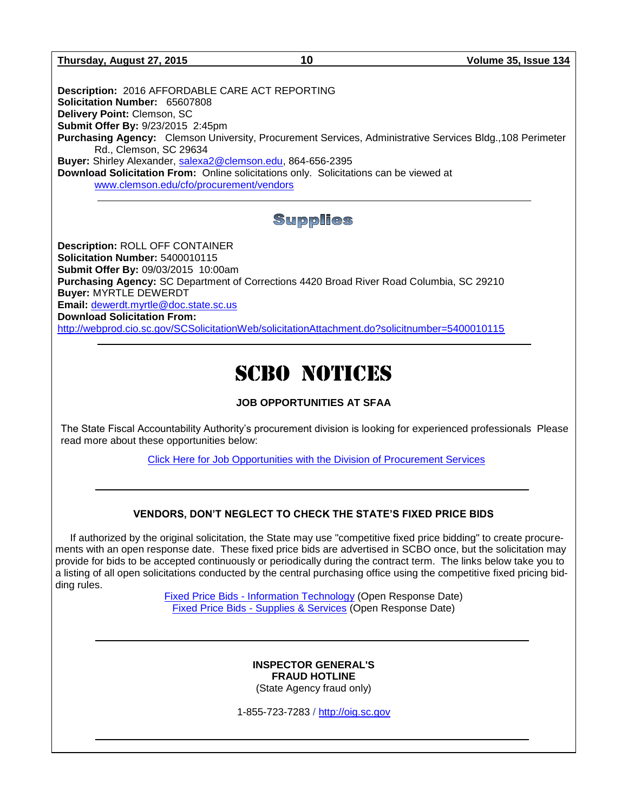**Thursday, August 27, 2015 10 Volume 35, Issue 134**

**Description:** 2016 AFFORDABLE CARE ACT REPORTING **Solicitation Number:** 65607808 **Delivery Point:** Clemson, SC **Submit Offer By:** 9/23/2015 2:45pm **Purchasing Agency:** Clemson University, Procurement Services, Administrative Services Bldg.,108 Perimeter Rd., Clemson, SC 29634 **Buyer:** Shirley Alexander, [salexa2@clemson.edu,](mailto:salexa2@clemson.edu) 864-656-2395 **Download Solicitation From:** Online solicitations only. Solicitations can be viewed at

[www.clemson.edu/cfo/procurement/vendors](http://www.clemson.edu/cfo/procurement/vendors)

# **Supplies**

**Description:** ROLL OFF CONTAINER **Solicitation Number:** 5400010115 **Submit Offer By:** 09/03/2015 10:00am **Purchasing Agency:** SC Department of Corrections 4420 Broad River Road Columbia, SC 29210 **Buyer:** MYRTLE DEWERDT **Email:** [dewerdt.myrtle@doc.state.sc.us](mailto:dewerdt.myrtle@doc.state.sc.us) **Download Solicitation From:**  <http://webprod.cio.sc.gov/SCSolicitationWeb/solicitationAttachment.do?solicitnumber=5400010115>

# SCBO NOTICES

## **JOB OPPORTUNITIES AT SFAA**

The State Fiscal Accountability Authority's procurement division is looking for experienced professionals Please read more about these opportunities below:

[Click Here for Job Opportunities with the Division of Procurement Services](http://procurement.sc.gov/webfiles/MMO_scbo/SCBO%20Online/SFAA_job_opportunities.pdf)

### **VENDORS, DON'T NEGLECT TO CHECK THE STATE'S FIXED PRICE BIDS**

If authorized by the original solicitation, the State may use "competitive fixed price bidding" to create procurements with an open response date. These fixed price bids are advertised in SCBO once, but the solicitation may provide for bids to be accepted continuously or periodically during the contract term. The links below take you to a listing of all open solicitations conducted by the central purchasing office using the competitive fixed pricing bidding rules.

> Fixed Price Bids - [Information Technology](http://www.mmo.sc.gov/PS/vendor/PS-vendor-fixed-price-bids-it.phtm) (Open Response Date) Fixed Price Bids - [Supplies & Services](http://www.mmo.sc.gov/PS/vendor/PS-vendor-fixed-price-bids-ss.phtm) (Open Response Date)

#### **INSPECTOR GENERAL'S FRAUD HOTLINE** (State Agency fraud only)

1-855-723-7283 / [http://oig.sc.gov](http://oig.sc.gov/)